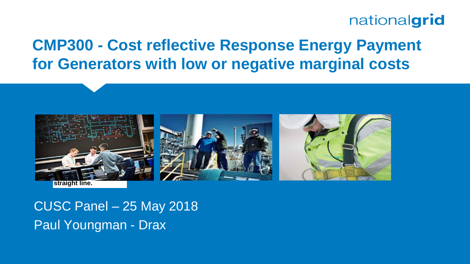# nationalgrid

# **CMP300 - Cost reflective Response Energy Payment for Generators with low or negative marginal costs**



CUSC Panel – 25 May 2018 Paul Youngman - Drax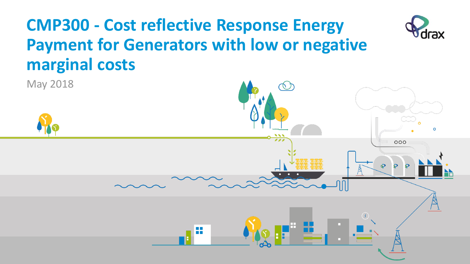# **CMP300 - Cost reflective Response Energy Payment for Generators with low or negative marginal costs**



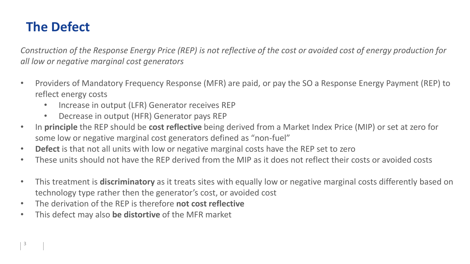## **The Defect**

*Construction of the Response Energy Price (REP) is not reflective of the cost or avoided cost of energy production for all low or negative marginal cost generators*

- Providers of Mandatory Frequency Response (MFR) are paid, or pay the SO a Response Energy Payment (REP) to reflect energy costs
	- Increase in output (LFR) Generator receives REP
	- Decrease in output (HFR) Generator pays REP
- In **principle** the REP should be **cost reflective** being derived from a Market Index Price (MIP) or set at zero for some low or negative marginal cost generators defined as "non-fuel"
- **Defect** is that not all units with low or negative marginal costs have the REP set to zero
- These units should not have the REP derived from the MIP as it does not reflect their costs or avoided costs
- This treatment is **discriminatory** as it treats sites with equally low or negative marginal costs differently based on technology type rather then the generator's cost, or avoided cost
- The derivation of the REP is therefore **not cost reflective**
- This defect may also **be distortive** of the MFR market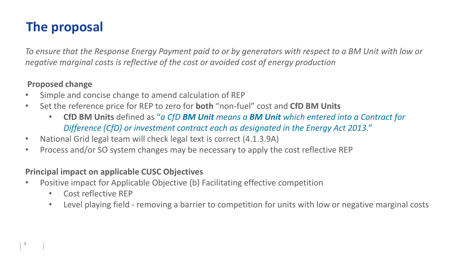# **The proposal**

*To ensure that the Response Energy Payment paid to or by generators with respect to a BM Unit with low or negative marginal costs is reflective of the cost or avoided cost of energy production*

### **Proposed change**

- Simple and concise change to amend calculation of REP
- Set the reference price for REP to zero for **both** "non-fuel" cost and **CfD BM Units**
	- **CfD BM Units** defined as "*a CfD BM Unit means a BM Unit which entered into a Contract for Difference (CfD) or investment contract each as designated in the Energy Act 2013."*
- National Grid legal team will check legal text is correct (4.1.3.9A)
- Process and/or SO system changes may be necessary to apply the cost reflective REP

### **Principal impact on applicable CUSC Objectives**

- Positive impact for Applicable Objective (b) Facilitating effective competition
	- Cost reflective REP
	- Level playing field removing a barrier to competition for units with low or negative marginal costs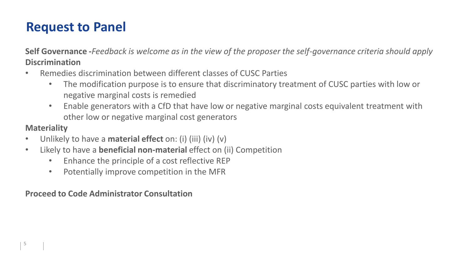## **Request to Panel**

**Self Governance -***Feedback is welcome as in the view of the proposer the self-governance criteria should apply* **Discrimination**

- Remedies discrimination between different classes of CUSC Parties
	- The modification purpose is to ensure that discriminatory treatment of CUSC parties with low or negative marginal costs is remedied
	- Enable generators with a CfD that have low or negative marginal costs equivalent treatment with other low or negative marginal cost generators

## **Materiality**

- Unlikely to have a **material effect** on: (i) (iii) (iv) (v)
- Likely to have a **beneficial non-material** effect on (ii) Competition
	- Enhance the principle of a cost reflective REP
	- Potentially improve competition in the MFR

#### **Proceed to Code Administrator Consultation**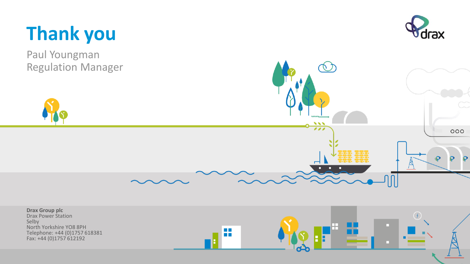

Paul Youngman Regulation Manager



 $000$ 

 $\bullet$ 

 $\mathbf{Q}$ 

**Drax Group plc** Drax Power Station Selby п North Yorkshire YO8 8PH **COLOR** Telephone: +44 (0)1757 618381 m Fax: +44 (0)1757 612192

 $\overline{\mathbf{v}}$  $\overline{\cdots}$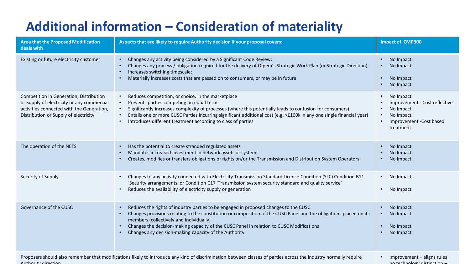# **Additional information – Consideration of materiality**

| <b>Area that the Proposed Modification</b><br>deals with                                                                                                                        | Aspects that are likely to require Authority decision if your proposal covers:                                                                                                                                                                                                                                                                                                                                                                                 | <b>Impact of CMP300</b>                                                                                       |
|---------------------------------------------------------------------------------------------------------------------------------------------------------------------------------|----------------------------------------------------------------------------------------------------------------------------------------------------------------------------------------------------------------------------------------------------------------------------------------------------------------------------------------------------------------------------------------------------------------------------------------------------------------|---------------------------------------------------------------------------------------------------------------|
| Existing or future electricity customer                                                                                                                                         | Changes any activity being considered by a Significant Code Review;<br>$\bullet$<br>Changes any process / obligation required for the delivery of Ofgem's Strategic Work Plan (or Strategic Direction);<br>$\bullet$<br>Increases switching timescale;<br>$\bullet$<br>Materially increases costs that are passed on to consumers, or may be in future<br>$\bullet$                                                                                            | No Impact<br>No Impact<br>No Impact<br>No Impact                                                              |
| Competition in Generation, Distribution<br>or Supply of electricity or any commercial<br>activities connected with the Generation,<br>Distribution or Supply of electricity     | Reduces competition, or choice, in the marketplace<br>$\bullet$<br>Prevents parties competing on equal terms<br>$\bullet$<br>Significantly increases complexity of processes (where this potentially leads to confusion for consumers)<br>Entails one or more CUSC Parties incurring significant additional cost (e.g. >£100k in any one single financial year)<br>$\bullet$<br>Introduces different treatment according to class of parties<br>$\bullet$      | No Impact<br>Improvement - Cost reflective<br>No Impact<br>No Impact<br>Improvement - Cost based<br>treatment |
| The operation of the NETS                                                                                                                                                       | Has the potential to create stranded regulated assets<br>$\bullet$<br>Mandates increased investment in network assets or systems<br>$\bullet$<br>Creates, modifies or transfers obligations or rights on/or the Transmission and Distribution System Operators<br>$\bullet$                                                                                                                                                                                    | No Impact<br>No Impact<br>No Impact                                                                           |
| Security of Supply                                                                                                                                                              | Changes to any activity connected with Electricity Transmission Standard Licence Condition (SLC) Condition B11<br>$\bullet$<br>'Security arrangements' or Condition C17 'Transmission system security standard and quality service'<br>Reduces the availability of electricity supply or generation<br>$\bullet$                                                                                                                                               | No Impact<br>No Impact                                                                                        |
| Governance of the CUSC                                                                                                                                                          | Reduces the rights of industry parties to be engaged in proposed changes to the CUSC<br>$\bullet$<br>Changes provisions relating to the constitution or composition of the CUSC Panel and the obligations placed on its<br>$\bullet$<br>members (collectively and individually)<br>Changes the decision-making capacity of the CUSC Panel in relation to CUSC Modifications<br>$\bullet$<br>Changes any decision-making capacity of the Authority<br>$\bullet$ | No Impact<br>No Impact<br>No Impact<br>No Impact                                                              |
| Proposers should also remember that modifications likely to introduce any kind of discrimination between classes of parties across the industry normally require<br>$A \cdot A$ |                                                                                                                                                                                                                                                                                                                                                                                                                                                                | Improvement - aligns rules<br>na taahnalamu dictination                                                       |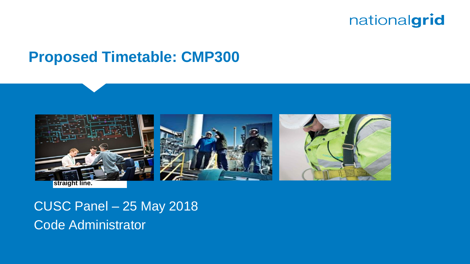# nationalgrid

# **Proposed Timetable: CMP300**



CUSC Panel – 25 May 2018 Code Administrator